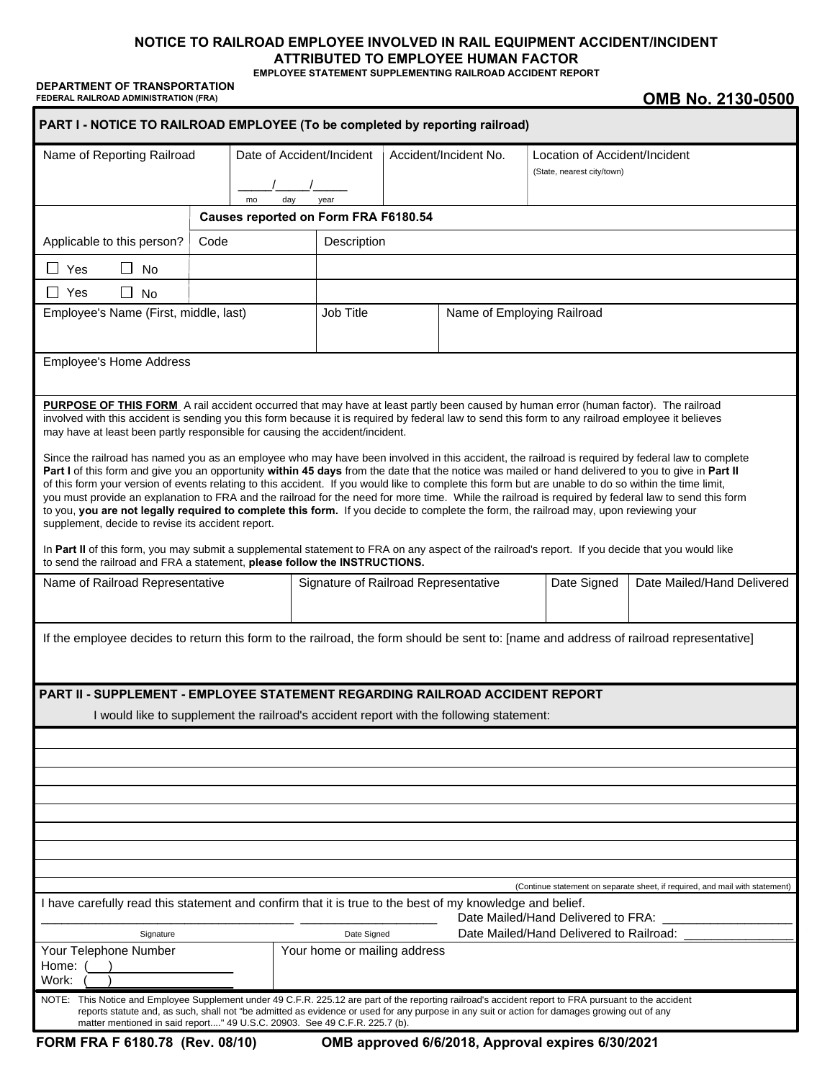# **NOTICE TO RAILROAD EMPLOYEE INVOLVED IN RAIL EQUIPMENT ACCIDENT/INCIDENT ATTRIBUTED TO EMPLOYEE HUMAN FACTOR**

**EMPLOYEE STATEMENT SUPPLEMENTING RAILROAD ACCIDENT REPORT**

**DEPARTMENT OF TRANSPORTATION** FEDERAL RAILROAD ADMINISTRATION (FRA) **OMB No. 2130-0500** 

| PART I - NOTICE TO RAILROAD EMPLOYEE (To be completed by reporting railroad)                                                                                                                                                                                                                                                                                                                                                                                                                                                                                                                                                                                                                                                                                                                                                                                                                                                                                                                                                                                                                                                                                                                             |      |                                        |                                         |                       |  |                                                             |                                                                              |  |
|----------------------------------------------------------------------------------------------------------------------------------------------------------------------------------------------------------------------------------------------------------------------------------------------------------------------------------------------------------------------------------------------------------------------------------------------------------------------------------------------------------------------------------------------------------------------------------------------------------------------------------------------------------------------------------------------------------------------------------------------------------------------------------------------------------------------------------------------------------------------------------------------------------------------------------------------------------------------------------------------------------------------------------------------------------------------------------------------------------------------------------------------------------------------------------------------------------|------|----------------------------------------|-----------------------------------------|-----------------------|--|-------------------------------------------------------------|------------------------------------------------------------------------------|--|
| Name of Reporting Railroad                                                                                                                                                                                                                                                                                                                                                                                                                                                                                                                                                                                                                                                                                                                                                                                                                                                                                                                                                                                                                                                                                                                                                                               |      | Date of Accident/Incident<br>day<br>mo |                                         | Accident/Incident No. |  | Location of Accident/Incident<br>(State, nearest city/town) |                                                                              |  |
| year<br>Causes reported on Form FRA F6180.54                                                                                                                                                                                                                                                                                                                                                                                                                                                                                                                                                                                                                                                                                                                                                                                                                                                                                                                                                                                                                                                                                                                                                             |      |                                        |                                         |                       |  |                                                             |                                                                              |  |
| Applicable to this person?                                                                                                                                                                                                                                                                                                                                                                                                                                                                                                                                                                                                                                                                                                                                                                                                                                                                                                                                                                                                                                                                                                                                                                               | Code |                                        |                                         | Description           |  |                                                             |                                                                              |  |
| $\square$ Yes<br>$\Box$<br>No                                                                                                                                                                                                                                                                                                                                                                                                                                                                                                                                                                                                                                                                                                                                                                                                                                                                                                                                                                                                                                                                                                                                                                            |      |                                        |                                         |                       |  |                                                             |                                                                              |  |
| □ Yes<br>$\Box$ No                                                                                                                                                                                                                                                                                                                                                                                                                                                                                                                                                                                                                                                                                                                                                                                                                                                                                                                                                                                                                                                                                                                                                                                       |      |                                        |                                         |                       |  |                                                             |                                                                              |  |
| Employee's Name (First, middle, last)                                                                                                                                                                                                                                                                                                                                                                                                                                                                                                                                                                                                                                                                                                                                                                                                                                                                                                                                                                                                                                                                                                                                                                    |      |                                        | Job Title<br>Name of Employing Railroad |                       |  |                                                             |                                                                              |  |
| <b>Employee's Home Address</b>                                                                                                                                                                                                                                                                                                                                                                                                                                                                                                                                                                                                                                                                                                                                                                                                                                                                                                                                                                                                                                                                                                                                                                           |      |                                        |                                         |                       |  |                                                             |                                                                              |  |
| <b>PURPOSE OF THIS FORM</b> A rail accident occurred that may have at least partly been caused by human error (human factor). The railroad<br>involved with this accident is sending you this form because it is required by federal law to send this form to any railroad employee it believes<br>may have at least been partly responsible for causing the accident/incident.<br>Since the railroad has named you as an employee who may have been involved in this accident, the railroad is required by federal law to complete<br>Part I of this form and give you an opportunity within 45 days from the date that the notice was mailed or hand delivered to you to give in Part II<br>of this form your version of events relating to this accident. If you would like to complete this form but are unable to do so within the time limit,<br>you must provide an explanation to FRA and the railroad for the need for more time. While the railroad is required by federal law to send this form<br>to you, you are not legally required to complete this form. If you decide to complete the form, the railroad may, upon reviewing your<br>supplement, decide to revise its accident report. |      |                                        |                                         |                       |  |                                                             |                                                                              |  |
| In Part II of this form, you may submit a supplemental statement to FRA on any aspect of the railroad's report. If you decide that you would like<br>to send the railroad and FRA a statement, please follow the INSTRUCTIONS.                                                                                                                                                                                                                                                                                                                                                                                                                                                                                                                                                                                                                                                                                                                                                                                                                                                                                                                                                                           |      |                                        |                                         |                       |  |                                                             |                                                                              |  |
| Name of Railroad Representative                                                                                                                                                                                                                                                                                                                                                                                                                                                                                                                                                                                                                                                                                                                                                                                                                                                                                                                                                                                                                                                                                                                                                                          |      |                                        | Signature of Railroad Representative    |                       |  | Date Signed                                                 | Date Mailed/Hand Delivered                                                   |  |
| If the employee decides to return this form to the railroad, the form should be sent to: [name and address of railroad representative]                                                                                                                                                                                                                                                                                                                                                                                                                                                                                                                                                                                                                                                                                                                                                                                                                                                                                                                                                                                                                                                                   |      |                                        |                                         |                       |  |                                                             |                                                                              |  |
| <b>PART II - SUPPLEMENT - EMPLOYEE STATEMENT REGARDING RAILROAD ACCIDENT REPORT</b>                                                                                                                                                                                                                                                                                                                                                                                                                                                                                                                                                                                                                                                                                                                                                                                                                                                                                                                                                                                                                                                                                                                      |      |                                        |                                         |                       |  |                                                             |                                                                              |  |
| I would like to supplement the railroad's accident report with the following statement:                                                                                                                                                                                                                                                                                                                                                                                                                                                                                                                                                                                                                                                                                                                                                                                                                                                                                                                                                                                                                                                                                                                  |      |                                        |                                         |                       |  |                                                             |                                                                              |  |
|                                                                                                                                                                                                                                                                                                                                                                                                                                                                                                                                                                                                                                                                                                                                                                                                                                                                                                                                                                                                                                                                                                                                                                                                          |      |                                        |                                         |                       |  |                                                             |                                                                              |  |
|                                                                                                                                                                                                                                                                                                                                                                                                                                                                                                                                                                                                                                                                                                                                                                                                                                                                                                                                                                                                                                                                                                                                                                                                          |      |                                        |                                         |                       |  |                                                             |                                                                              |  |
|                                                                                                                                                                                                                                                                                                                                                                                                                                                                                                                                                                                                                                                                                                                                                                                                                                                                                                                                                                                                                                                                                                                                                                                                          |      |                                        |                                         |                       |  |                                                             |                                                                              |  |
|                                                                                                                                                                                                                                                                                                                                                                                                                                                                                                                                                                                                                                                                                                                                                                                                                                                                                                                                                                                                                                                                                                                                                                                                          |      |                                        |                                         |                       |  |                                                             |                                                                              |  |
|                                                                                                                                                                                                                                                                                                                                                                                                                                                                                                                                                                                                                                                                                                                                                                                                                                                                                                                                                                                                                                                                                                                                                                                                          |      |                                        |                                         |                       |  |                                                             |                                                                              |  |
|                                                                                                                                                                                                                                                                                                                                                                                                                                                                                                                                                                                                                                                                                                                                                                                                                                                                                                                                                                                                                                                                                                                                                                                                          |      |                                        |                                         |                       |  |                                                             |                                                                              |  |
|                                                                                                                                                                                                                                                                                                                                                                                                                                                                                                                                                                                                                                                                                                                                                                                                                                                                                                                                                                                                                                                                                                                                                                                                          |      |                                        |                                         |                       |  |                                                             |                                                                              |  |
|                                                                                                                                                                                                                                                                                                                                                                                                                                                                                                                                                                                                                                                                                                                                                                                                                                                                                                                                                                                                                                                                                                                                                                                                          |      |                                        |                                         |                       |  |                                                             | (Continue statement on separate sheet, if required, and mail with statement) |  |
| I have carefully read this statement and confirm that it is true to the best of my knowledge and belief.                                                                                                                                                                                                                                                                                                                                                                                                                                                                                                                                                                                                                                                                                                                                                                                                                                                                                                                                                                                                                                                                                                 |      |                                        |                                         |                       |  | Date Mailed/Hand Delivered to FRA:                          |                                                                              |  |
| Signature                                                                                                                                                                                                                                                                                                                                                                                                                                                                                                                                                                                                                                                                                                                                                                                                                                                                                                                                                                                                                                                                                                                                                                                                |      |                                        | Date Signed                             |                       |  | Date Mailed/Hand Delivered to Railroad:                     |                                                                              |  |
| Your Telephone Number<br>Home:<br>Work:                                                                                                                                                                                                                                                                                                                                                                                                                                                                                                                                                                                                                                                                                                                                                                                                                                                                                                                                                                                                                                                                                                                                                                  |      |                                        | Your home or mailing address            |                       |  |                                                             |                                                                              |  |
| NOTE: This Notice and Employee Supplement under 49 C.F.R. 225.12 are part of the reporting railroad's accident report to FRA pursuant to the accident<br>reports statute and, as such, shall not "be admitted as evidence or used for any purpose in any suit or action for damages growing out of any<br>matter mentioned in said report" 49 U.S.C. 20903. See 49 C.F.R. 225.7 (b).                                                                                                                                                                                                                                                                                                                                                                                                                                                                                                                                                                                                                                                                                                                                                                                                                     |      |                                        |                                         |                       |  |                                                             |                                                                              |  |

**OMB approved 6/6/2018, Approval expires 6/30/2021**